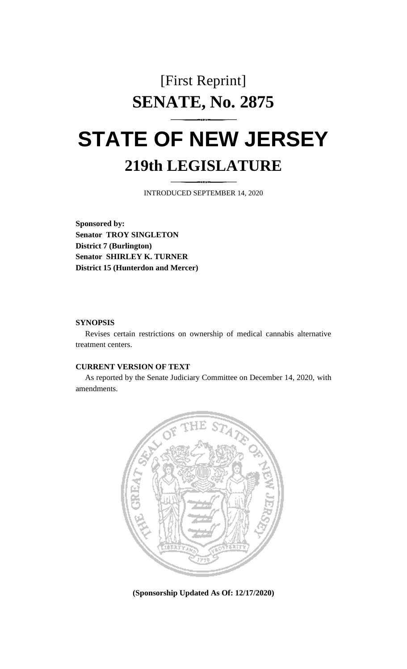## [First Reprint] **SENATE, No. 2875**

# **STATE OF NEW JERSEY 219th LEGISLATURE**

INTRODUCED SEPTEMBER 14, 2020

**Sponsored by: Senator TROY SINGLETON District 7 (Burlington) Senator SHIRLEY K. TURNER District 15 (Hunterdon and Mercer)**

### **SYNOPSIS**

Revises certain restrictions on ownership of medical cannabis alternative treatment centers.

### **CURRENT VERSION OF TEXT**

As reported by the Senate Judiciary Committee on December 14, 2020, with amendments.



**(Sponsorship Updated As Of: 12/17/2020)**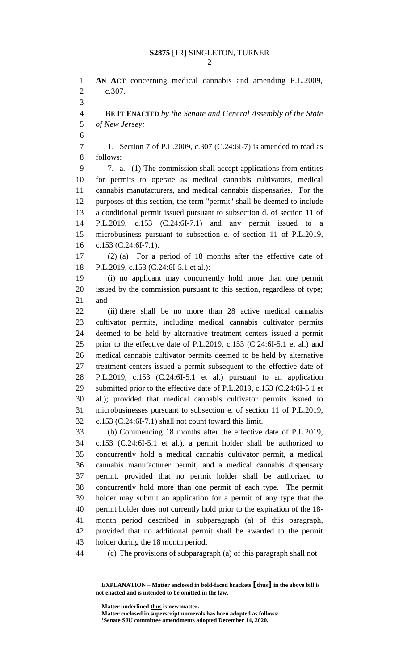**AN ACT** concerning medical cannabis and amending P.L.2009, c.307. **BE IT ENACTED** *by the Senate and General Assembly of the State of New Jersey:* 1. Section 7 of P.L.2009, c.307 (C.24:6I-7) is amended to read as follows: 7. a. (1) The commission shall accept applications from entities for permits to operate as medical cannabis cultivators, medical cannabis manufacturers, and medical cannabis dispensaries. For the purposes of this section, the term "permit" shall be deemed to include a conditional permit issued pursuant to subsection d. of section 11 of P.L.2019, c.153 (C.24:6I-7.1) and any permit issued to a microbusiness pursuant to subsection e. of section 11 of P.L.2019, c.153 (C.24:6I-7.1). (2) (a) For a period of 18 months after the effective date of P.L.2019, c.153 (C.24:6I-5.1 et al.): (i) no applicant may concurrently hold more than one permit issued by the commission pursuant to this section, regardless of type; and (ii) there shall be no more than 28 active medical cannabis cultivator permits, including medical cannabis cultivator permits deemed to be held by alternative treatment centers issued a permit prior to the effective date of P.L.2019, c.153 (C.24:6I-5.1 et al.) and medical cannabis cultivator permits deemed to be held by alternative treatment centers issued a permit subsequent to the effective date of P.L.2019, c.153 (C.24:6I-5.1 et al.) pursuant to an application submitted prior to the effective date of P.L.2019, c.153 (C.24:6I-5.1 et al.); provided that medical cannabis cultivator permits issued to microbusinesses pursuant to subsection e. of section 11 of P.L.2019, c.153 (C.24:6I-7.1) shall not count toward this limit. (b) Commencing 18 months after the effective date of P.L.2019, c.153 (C.24:6I-5.1 et al.), a permit holder shall be authorized to concurrently hold a medical cannabis cultivator permit, a medical cannabis manufacturer permit, and a medical cannabis dispensary permit, provided that no permit holder shall be authorized to concurrently hold more than one permit of each type. The permit holder may submit an application for a permit of any type that the permit holder does not currently hold prior to the expiration of the 18- month period described in subparagraph (a) of this paragraph, provided that no additional permit shall be awarded to the permit holder during the 18 month period. (c) The provisions of subparagraph (a) of this paragraph shall not

**Matter underlined thus is new matter.**

**Matter enclosed in superscript numerals has been adopted as follows: Senate SJU committee amendments adopted December 14, 2020.**

**EXPLANATION – Matter enclosed in bold-faced brackets [thus] in the above bill is not enacted and is intended to be omitted in the law.**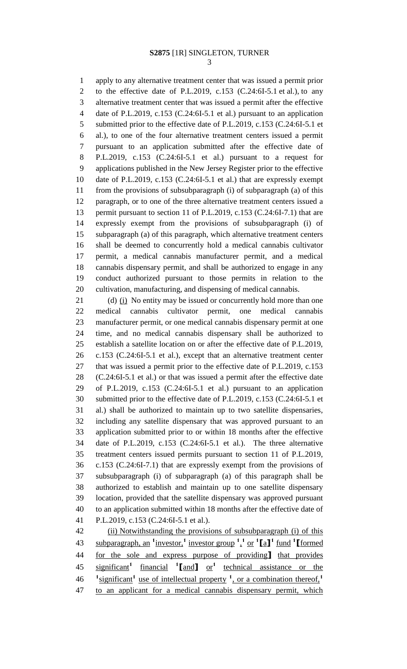apply to any alternative treatment center that was issued a permit prior to the effective date of P.L.2019, c.153 (C.24:6I-5.1 et al.), to any alternative treatment center that was issued a permit after the effective date of P.L.2019, c.153 (C.24:6I-5.1 et al.) pursuant to an application 5 submitted prior to the effective date of P.L.2019, c.153 (C.24:6I-5.1 et al.), to one of the four alternative treatment centers issued a permit pursuant to an application submitted after the effective date of P.L.2019, c.153 (C.24:6I-5.1 et al.) pursuant to a request for applications published in the New Jersey Register prior to the effective date of P.L.2019, c.153 (C.24:6I-5.1 et al.) that are expressly exempt from the provisions of subsubparagraph (i) of subparagraph (a) of this paragraph, or to one of the three alternative treatment centers issued a 13 permit pursuant to section 11 of P.L.2019, c.153 (C.24:6I-7.1) that are expressly exempt from the provisions of subsubparagraph (i) of subparagraph (a) of this paragraph, which alternative treatment centers shall be deemed to concurrently hold a medical cannabis cultivator permit, a medical cannabis manufacturer permit, and a medical cannabis dispensary permit, and shall be authorized to engage in any conduct authorized pursuant to those permits in relation to the cultivation, manufacturing, and dispensing of medical cannabis.

21 (d) (i) No entity may be issued or concurrently hold more than one medical cannabis cultivator permit, one medical cannabis manufacturer permit, or one medical cannabis dispensary permit at one time, and no medical cannabis dispensary shall be authorized to establish a satellite location on or after the effective date of P.L.2019, c.153 (C.24:6I-5.1 et al.), except that an alternative treatment center that was issued a permit prior to the effective date of P.L.2019, c.153 (C.24:6I-5.1 et al.) or that was issued a permit after the effective date of P.L.2019, c.153 (C.24:6I-5.1 et al.) pursuant to an application submitted prior to the effective date of P.L.2019, c.153 (C.24:6I-5.1 et al.) shall be authorized to maintain up to two satellite dispensaries, including any satellite dispensary that was approved pursuant to an application submitted prior to or within 18 months after the effective date of P.L.2019, c.153 (C.24:6I-5.1 et al.). The three alternative treatment centers issued permits pursuant to section 11 of P.L.2019, c.153 (C.24:6I-7.1) that are expressly exempt from the provisions of subsubparagraph (i) of subparagraph (a) of this paragraph shall be authorized to establish and maintain up to one satellite dispensary location, provided that the satellite dispensary was approved pursuant to an application submitted within 18 months after the effective date of P.L.2019, c.153 (C.24:6I-5.1 et al.).

42 (ii) Notwithstanding the provisions of subsubparagraph (i) of this subparagraph, an **<sup>1</sup>** investor,**<sup>1</sup>** investor group **<sup>1</sup>** , **1** or **<sup>1</sup> [**a**] 1** fund **<sup>1</sup> [**formed for the sole and express purpose of providing**]** that provides significant**<sup>1</sup>** financial **<sup>1</sup> [**and**]** or**<sup>1</sup>** technical assistance or the <sup>1</sup> significant<sup>1</sup> use of intellectual property <sup>1</sup>, or a combination thereof,<sup>1</sup> to an applicant for a medical cannabis dispensary permit, which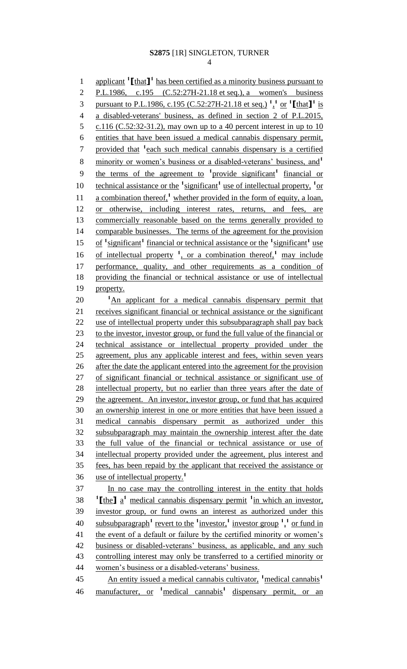4

1 applicant <sup>1</sup>[that]<sup>1</sup> has been certified as a minority business pursuant to 2 P.L.1986, c.195 (C.52:27H-21.18 et seq.), a women's business 3 pursuant to P.L.1986, c.195 (C.52:27H-21.18 et seq.) <sup>1</sup>,<sup>1</sup> or <sup>1</sup>[that]<sup>1</sup> is 4 a disabled-veterans' business, as defined in section 2 of P.L.2015, 5 c.116 (C.52:32-31.2), may own up to a 40 percent interest in up to 10 6 entities that have been issued a medical cannabis dispensary permit, 7 provided that <sup>1</sup> each such medical cannabis dispensary is a certified minority or women's business or a disabled-veterans' business, and**<sup>1</sup>** 8 9 the terms of the agreement to <sup>1</sup> provide significant<sup>1</sup> financial or 10 technical assistance or the <sup>1</sup> significant<sup>1</sup> use of intellectual property, <sup>1</sup> or 11 a combination thereof,<sup>1</sup> whether provided in the form of equity, a loan, 12 or otherwise, including interest rates, returns, and fees, are 13 commercially reasonable based on the terms generally provided to 14 comparable businesses. The terms of the agreement for the provision 15 of <sup>1</sup> significant<sup>1</sup> financial or technical assistance or the <sup>1</sup> significant<sup>1</sup> use 16 of intellectual property <sup>1</sup>, or a combination thereof,<sup>1</sup> may include 17 performance, quality, and other requirements as a condition of 18 providing the financial or technical assistance or use of intellectual 19 property. 20 <sup>1</sup>An applicant for a medical cannabis dispensary permit that 21 receives significant financial or technical assistance or the significant 22 use of intellectual property under this subsubparagraph shall pay back 23 to the investor, investor group, or fund the full value of the financial or 24 technical assistance or intellectual property provided under the 25 agreement, plus any applicable interest and fees, within seven years 26 after the date the applicant entered into the agreement for the provision 27 of significant financial or technical assistance or significant use of 28 intellectual property, but no earlier than three years after the date of 29 the agreement. An investor, investor group, or fund that has acquired 30 an ownership interest in one or more entities that have been issued a 31 medical cannabis dispensary permit as authorized under this 32 subsubparagraph may maintain the ownership interest after the date 33 the full value of the financial or technical assistance or use of 34 intellectual property provided under the agreement, plus interest and 35 fees, has been repaid by the applicant that received the assistance or use of intellectual property.**<sup>1</sup>** 36 37 In no case may the controlling interest in the entity that holds **11**  $\text{the}$  **1**  $\text{a}$ <sup>1</sup> medical cannabis dispensary permit <sup>1</sup> in which an investor, 39 investor group, or fund owns an interest as authorized under this 40 subsubparagraph<sup>1</sup> revert to the <sup>1</sup> investor,<sup>1</sup> investor group  $\frac{1}{2}$  or fund in 41 the event of a default or failure by the certified minority or women's 42 business or disabled-veterans' business, as applicable, and any such 43 controlling interest may only be transferred to a certified minority or 44 women's business or a disabled-veterans' business. An entity issued a medical cannabis cultivator, **<sup>1</sup>**medical cannabis**<sup>1</sup>** 45 46 manufacturer, or <sup>1</sup> medical cannabis<sup>1</sup> dispensary permit, or an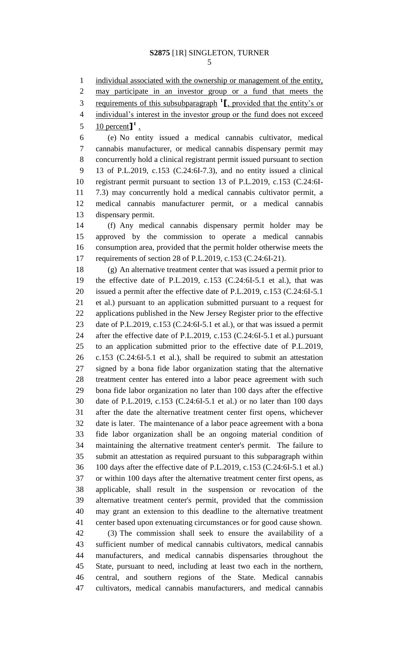1 individual associated with the ownership or management of the entity,

may participate in an investor group or a fund that meets the

3 requirements of this subsubparagraph <sup>1</sup>, provided that the entity's or

individual's interest in the investor group or the fund does not exceed

5 percent<sup> $\mathbf{I}^1$ </sup>.

 (e) No entity issued a medical cannabis cultivator, medical cannabis manufacturer, or medical cannabis dispensary permit may concurrently hold a clinical registrant permit issued pursuant to section 13 of P.L.2019, c.153 (C.24:6I-7.3), and no entity issued a clinical registrant permit pursuant to section 13 of P.L.2019, c.153 (C.24:6I- 7.3) may concurrently hold a medical cannabis cultivator permit, a medical cannabis manufacturer permit, or a medical cannabis dispensary permit.

 (f) Any medical cannabis dispensary permit holder may be approved by the commission to operate a medical cannabis consumption area, provided that the permit holder otherwise meets the requirements of section 28 of P.L.2019, c.153 (C.24:6I-21).

 (g) An alternative treatment center that was issued a permit prior to the effective date of P.L.2019, c.153 (C.24:6I-5.1 et al.), that was issued a permit after the effective date of P.L.2019, c.153 (C.24:6I-5.1 et al.) pursuant to an application submitted pursuant to a request for applications published in the New Jersey Register prior to the effective date of P.L.2019, c.153 (C.24:6I-5.1 et al.), or that was issued a permit after the effective date of P.L.2019, c.153 (C.24:6I-5.1 et al.) pursuant to an application submitted prior to the effective date of P.L.2019, c.153 (C.24:6I-5.1 et al.), shall be required to submit an attestation signed by a bona fide labor organization stating that the alternative treatment center has entered into a labor peace agreement with such bona fide labor organization no later than 100 days after the effective date of P.L.2019, c.153 (C.24:6I-5.1 et al.) or no later than 100 days after the date the alternative treatment center first opens, whichever date is later. The maintenance of a labor peace agreement with a bona fide labor organization shall be an ongoing material condition of maintaining the alternative treatment center's permit. The failure to submit an attestation as required pursuant to this subparagraph within 100 days after the effective date of P.L.2019, c.153 (C.24:6I-5.1 et al.) or within 100 days after the alternative treatment center first opens, as applicable, shall result in the suspension or revocation of the alternative treatment center's permit, provided that the commission may grant an extension to this deadline to the alternative treatment center based upon extenuating circumstances or for good cause shown.

 (3) The commission shall seek to ensure the availability of a sufficient number of medical cannabis cultivators, medical cannabis manufacturers, and medical cannabis dispensaries throughout the State, pursuant to need, including at least two each in the northern, central, and southern regions of the State. Medical cannabis cultivators, medical cannabis manufacturers, and medical cannabis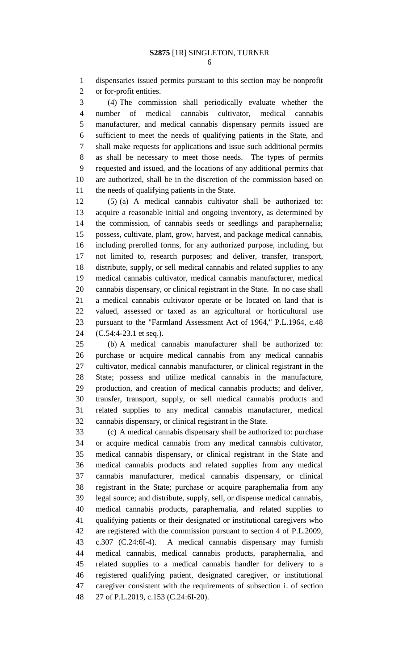dispensaries issued permits pursuant to this section may be nonprofit or for-profit entities.

 (4) The commission shall periodically evaluate whether the number of medical cannabis cultivator, medical cannabis manufacturer, and medical cannabis dispensary permits issued are sufficient to meet the needs of qualifying patients in the State, and shall make requests for applications and issue such additional permits as shall be necessary to meet those needs. The types of permits requested and issued, and the locations of any additional permits that are authorized, shall be in the discretion of the commission based on 11 the needs of qualifying patients in the State.

 (5) (a) A medical cannabis cultivator shall be authorized to: acquire a reasonable initial and ongoing inventory, as determined by the commission, of cannabis seeds or seedlings and paraphernalia; possess, cultivate, plant, grow, harvest, and package medical cannabis, including prerolled forms, for any authorized purpose, including, but not limited to, research purposes; and deliver, transfer, transport, distribute, supply, or sell medical cannabis and related supplies to any medical cannabis cultivator, medical cannabis manufacturer, medical cannabis dispensary, or clinical registrant in the State. In no case shall a medical cannabis cultivator operate or be located on land that is valued, assessed or taxed as an agricultural or horticultural use pursuant to the "Farmland Assessment Act of 1964," P.L.1964, c.48 (C.54:4-23.1 et seq.).

 (b) A medical cannabis manufacturer shall be authorized to: purchase or acquire medical cannabis from any medical cannabis cultivator, medical cannabis manufacturer, or clinical registrant in the State; possess and utilize medical cannabis in the manufacture, production, and creation of medical cannabis products; and deliver, transfer, transport, supply, or sell medical cannabis products and related supplies to any medical cannabis manufacturer, medical cannabis dispensary, or clinical registrant in the State.

 (c) A medical cannabis dispensary shall be authorized to: purchase or acquire medical cannabis from any medical cannabis cultivator, medical cannabis dispensary, or clinical registrant in the State and medical cannabis products and related supplies from any medical cannabis manufacturer, medical cannabis dispensary, or clinical registrant in the State; purchase or acquire paraphernalia from any legal source; and distribute, supply, sell, or dispense medical cannabis, medical cannabis products, paraphernalia, and related supplies to qualifying patients or their designated or institutional caregivers who are registered with the commission pursuant to section 4 of P.L.2009, c.307 (C.24:6I-4). A medical cannabis dispensary may furnish medical cannabis, medical cannabis products, paraphernalia, and related supplies to a medical cannabis handler for delivery to a registered qualifying patient, designated caregiver, or institutional caregiver consistent with the requirements of subsection i. of section 27 of P.L.2019, c.153 (C.24:6I-20).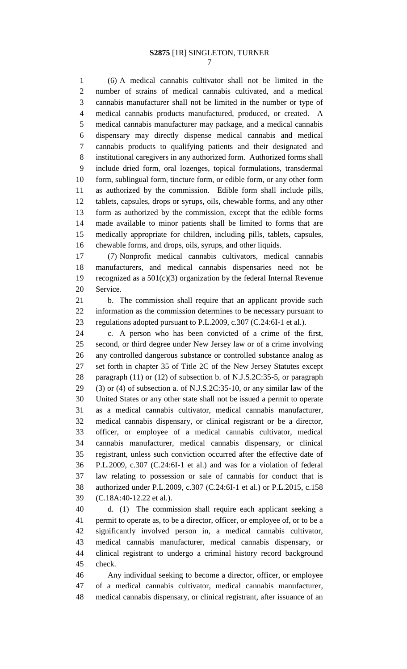(6) A medical cannabis cultivator shall not be limited in the number of strains of medical cannabis cultivated, and a medical cannabis manufacturer shall not be limited in the number or type of medical cannabis products manufactured, produced, or created. A medical cannabis manufacturer may package, and a medical cannabis dispensary may directly dispense medical cannabis and medical cannabis products to qualifying patients and their designated and institutional caregivers in any authorized form. Authorized forms shall include dried form, oral lozenges, topical formulations, transdermal form, sublingual form, tincture form, or edible form, or any other form as authorized by the commission. Edible form shall include pills, tablets, capsules, drops or syrups, oils, chewable forms, and any other form as authorized by the commission, except that the edible forms made available to minor patients shall be limited to forms that are medically appropriate for children, including pills, tablets, capsules, chewable forms, and drops, oils, syrups, and other liquids.

 (7) Nonprofit medical cannabis cultivators, medical cannabis manufacturers, and medical cannabis dispensaries need not be recognized as a 501(c)(3) organization by the federal Internal Revenue Service.

 b. The commission shall require that an applicant provide such information as the commission determines to be necessary pursuant to regulations adopted pursuant to P.L.2009, c.307 (C.24:6I-1 et al.).

 c. A person who has been convicted of a crime of the first, second, or third degree under New Jersey law or of a crime involving any controlled dangerous substance or controlled substance analog as set forth in chapter 35 of Title 2C of the New Jersey Statutes except paragraph (11) or (12) of subsection b. of N.J.S.2C:35-5, or paragraph (3) or (4) of subsection a. of N.J.S.2C:35-10, or any similar law of the United States or any other state shall not be issued a permit to operate as a medical cannabis cultivator, medical cannabis manufacturer, medical cannabis dispensary, or clinical registrant or be a director, officer, or employee of a medical cannabis cultivator, medical cannabis manufacturer, medical cannabis dispensary, or clinical registrant, unless such conviction occurred after the effective date of P.L.2009, c.307 (C.24:6I-1 et al.) and was for a violation of federal law relating to possession or sale of cannabis for conduct that is authorized under P.L.2009, c.307 (C.24:6I-1 et al.) or P.L.2015, c.158 (C.18A:40-12.22 et al.).

 d. (1) The commission shall require each applicant seeking a permit to operate as, to be a director, officer, or employee of, or to be a significantly involved person in, a medical cannabis cultivator, medical cannabis manufacturer, medical cannabis dispensary, or clinical registrant to undergo a criminal history record background check.

 Any individual seeking to become a director, officer, or employee of a medical cannabis cultivator, medical cannabis manufacturer, medical cannabis dispensary, or clinical registrant, after issuance of an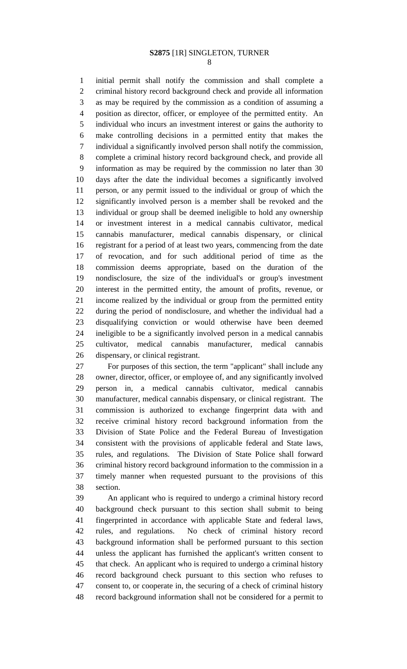initial permit shall notify the commission and shall complete a criminal history record background check and provide all information as may be required by the commission as a condition of assuming a position as director, officer, or employee of the permitted entity. An individual who incurs an investment interest or gains the authority to make controlling decisions in a permitted entity that makes the individual a significantly involved person shall notify the commission, complete a criminal history record background check, and provide all information as may be required by the commission no later than 30 days after the date the individual becomes a significantly involved person, or any permit issued to the individual or group of which the significantly involved person is a member shall be revoked and the individual or group shall be deemed ineligible to hold any ownership or investment interest in a medical cannabis cultivator, medical cannabis manufacturer, medical cannabis dispensary, or clinical registrant for a period of at least two years, commencing from the date of revocation, and for such additional period of time as the commission deems appropriate, based on the duration of the nondisclosure, the size of the individual's or group's investment interest in the permitted entity, the amount of profits, revenue, or income realized by the individual or group from the permitted entity during the period of nondisclosure, and whether the individual had a disqualifying conviction or would otherwise have been deemed ineligible to be a significantly involved person in a medical cannabis cultivator, medical cannabis manufacturer, medical cannabis dispensary, or clinical registrant.

 For purposes of this section, the term "applicant" shall include any owner, director, officer, or employee of, and any significantly involved person in, a medical cannabis cultivator, medical cannabis manufacturer, medical cannabis dispensary, or clinical registrant. The commission is authorized to exchange fingerprint data with and receive criminal history record background information from the Division of State Police and the Federal Bureau of Investigation consistent with the provisions of applicable federal and State laws, rules, and regulations. The Division of State Police shall forward criminal history record background information to the commission in a timely manner when requested pursuant to the provisions of this section.

 An applicant who is required to undergo a criminal history record background check pursuant to this section shall submit to being fingerprinted in accordance with applicable State and federal laws, rules, and regulations. No check of criminal history record background information shall be performed pursuant to this section unless the applicant has furnished the applicant's written consent to that check. An applicant who is required to undergo a criminal history record background check pursuant to this section who refuses to consent to, or cooperate in, the securing of a check of criminal history record background information shall not be considered for a permit to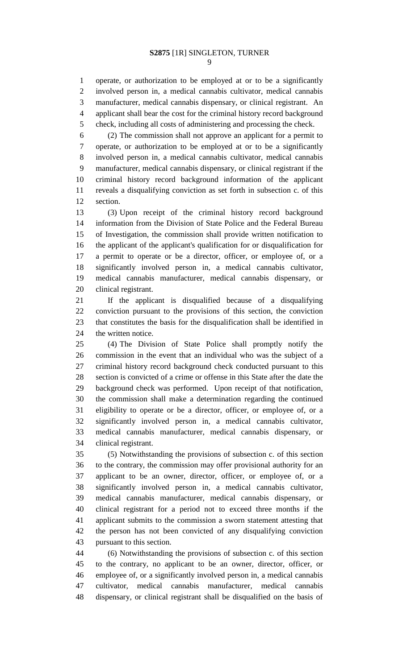operate, or authorization to be employed at or to be a significantly involved person in, a medical cannabis cultivator, medical cannabis manufacturer, medical cannabis dispensary, or clinical registrant. An applicant shall bear the cost for the criminal history record background check, including all costs of administering and processing the check.

 (2) The commission shall not approve an applicant for a permit to operate, or authorization to be employed at or to be a significantly involved person in, a medical cannabis cultivator, medical cannabis manufacturer, medical cannabis dispensary, or clinical registrant if the criminal history record background information of the applicant reveals a disqualifying conviction as set forth in subsection c. of this section.

 (3) Upon receipt of the criminal history record background information from the Division of State Police and the Federal Bureau of Investigation, the commission shall provide written notification to the applicant of the applicant's qualification for or disqualification for a permit to operate or be a director, officer, or employee of, or a significantly involved person in, a medical cannabis cultivator, medical cannabis manufacturer, medical cannabis dispensary, or clinical registrant.

 If the applicant is disqualified because of a disqualifying conviction pursuant to the provisions of this section, the conviction that constitutes the basis for the disqualification shall be identified in 24 the written notice.

 (4) The Division of State Police shall promptly notify the commission in the event that an individual who was the subject of a criminal history record background check conducted pursuant to this section is convicted of a crime or offense in this State after the date the background check was performed. Upon receipt of that notification, the commission shall make a determination regarding the continued eligibility to operate or be a director, officer, or employee of, or a significantly involved person in, a medical cannabis cultivator, medical cannabis manufacturer, medical cannabis dispensary, or clinical registrant.

 (5) Notwithstanding the provisions of subsection c. of this section to the contrary, the commission may offer provisional authority for an applicant to be an owner, director, officer, or employee of, or a significantly involved person in, a medical cannabis cultivator, medical cannabis manufacturer, medical cannabis dispensary, or clinical registrant for a period not to exceed three months if the applicant submits to the commission a sworn statement attesting that the person has not been convicted of any disqualifying conviction pursuant to this section.

 (6) Notwithstanding the provisions of subsection c. of this section to the contrary, no applicant to be an owner, director, officer, or employee of, or a significantly involved person in, a medical cannabis cultivator, medical cannabis manufacturer, medical cannabis dispensary, or clinical registrant shall be disqualified on the basis of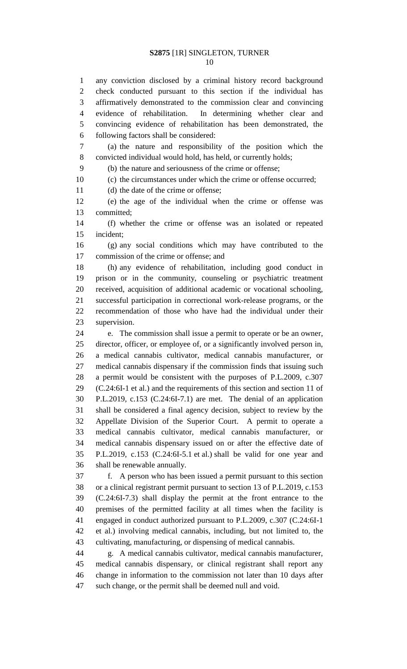any conviction disclosed by a criminal history record background check conducted pursuant to this section if the individual has affirmatively demonstrated to the commission clear and convincing evidence of rehabilitation. In determining whether clear and convincing evidence of rehabilitation has been demonstrated, the following factors shall be considered:

 (a) the nature and responsibility of the position which the convicted individual would hold, has held, or currently holds;

(b) the nature and seriousness of the crime or offense;

(c) the circumstances under which the crime or offense occurred;

11 (d) the date of the crime or offense;

 (e) the age of the individual when the crime or offense was committed;

 (f) whether the crime or offense was an isolated or repeated incident;

 (g) any social conditions which may have contributed to the commission of the crime or offense; and

 (h) any evidence of rehabilitation, including good conduct in prison or in the community, counseling or psychiatric treatment received, acquisition of additional academic or vocational schooling, successful participation in correctional work-release programs, or the recommendation of those who have had the individual under their supervision.

 e. The commission shall issue a permit to operate or be an owner, director, officer, or employee of, or a significantly involved person in, a medical cannabis cultivator, medical cannabis manufacturer, or medical cannabis dispensary if the commission finds that issuing such a permit would be consistent with the purposes of P.L.2009, c.307 (C.24:6I-1 et al.) and the requirements of this section and section 11 of P.L.2019, c.153 (C.24:6I-7.1) are met. The denial of an application shall be considered a final agency decision, subject to review by the Appellate Division of the Superior Court. A permit to operate a medical cannabis cultivator, medical cannabis manufacturer, or medical cannabis dispensary issued on or after the effective date of P.L.2019, c.153 (C.24:6I-5.1 et al.) shall be valid for one year and shall be renewable annually.

 f. A person who has been issued a permit pursuant to this section or a clinical registrant permit pursuant to section 13 of P.L.2019, c.153 (C.24:6I-7.3) shall display the permit at the front entrance to the premises of the permitted facility at all times when the facility is engaged in conduct authorized pursuant to P.L.2009, c.307 (C.24:6I-1 et al.) involving medical cannabis, including, but not limited to, the cultivating, manufacturing, or dispensing of medical cannabis.

 g. A medical cannabis cultivator, medical cannabis manufacturer, medical cannabis dispensary, or clinical registrant shall report any change in information to the commission not later than 10 days after such change, or the permit shall be deemed null and void.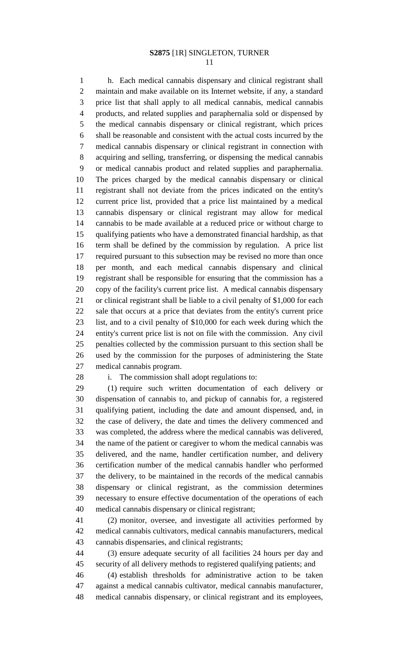h. Each medical cannabis dispensary and clinical registrant shall maintain and make available on its Internet website, if any, a standard price list that shall apply to all medical cannabis, medical cannabis products, and related supplies and paraphernalia sold or dispensed by the medical cannabis dispensary or clinical registrant, which prices shall be reasonable and consistent with the actual costs incurred by the medical cannabis dispensary or clinical registrant in connection with acquiring and selling, transferring, or dispensing the medical cannabis or medical cannabis product and related supplies and paraphernalia. The prices charged by the medical cannabis dispensary or clinical registrant shall not deviate from the prices indicated on the entity's current price list, provided that a price list maintained by a medical cannabis dispensary or clinical registrant may allow for medical cannabis to be made available at a reduced price or without charge to qualifying patients who have a demonstrated financial hardship, as that term shall be defined by the commission by regulation. A price list required pursuant to this subsection may be revised no more than once per month, and each medical cannabis dispensary and clinical registrant shall be responsible for ensuring that the commission has a copy of the facility's current price list. A medical cannabis dispensary or clinical registrant shall be liable to a civil penalty of \$1,000 for each sale that occurs at a price that deviates from the entity's current price list, and to a civil penalty of \$10,000 for each week during which the entity's current price list is not on file with the commission. Any civil penalties collected by the commission pursuant to this section shall be used by the commission for the purposes of administering the State medical cannabis program.

### i. The commission shall adopt regulations to:

 (1) require such written documentation of each delivery or dispensation of cannabis to, and pickup of cannabis for, a registered qualifying patient, including the date and amount dispensed, and, in the case of delivery, the date and times the delivery commenced and was completed, the address where the medical cannabis was delivered, the name of the patient or caregiver to whom the medical cannabis was delivered, and the name, handler certification number, and delivery certification number of the medical cannabis handler who performed the delivery, to be maintained in the records of the medical cannabis dispensary or clinical registrant, as the commission determines necessary to ensure effective documentation of the operations of each medical cannabis dispensary or clinical registrant;

 (2) monitor, oversee, and investigate all activities performed by medical cannabis cultivators, medical cannabis manufacturers, medical cannabis dispensaries, and clinical registrants;

 (3) ensure adequate security of all facilities 24 hours per day and security of all delivery methods to registered qualifying patients; and

 (4) establish thresholds for administrative action to be taken against a medical cannabis cultivator, medical cannabis manufacturer, medical cannabis dispensary, or clinical registrant and its employees,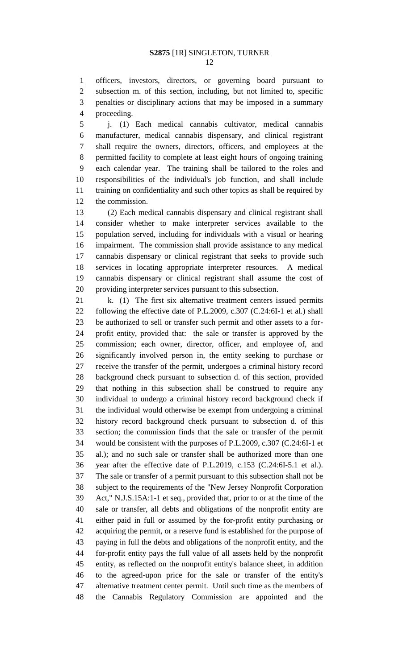officers, investors, directors, or governing board pursuant to subsection m. of this section, including, but not limited to, specific penalties or disciplinary actions that may be imposed in a summary proceeding.

 j. (1) Each medical cannabis cultivator, medical cannabis manufacturer, medical cannabis dispensary, and clinical registrant shall require the owners, directors, officers, and employees at the permitted facility to complete at least eight hours of ongoing training each calendar year. The training shall be tailored to the roles and responsibilities of the individual's job function, and shall include training on confidentiality and such other topics as shall be required by the commission.

 (2) Each medical cannabis dispensary and clinical registrant shall consider whether to make interpreter services available to the population served, including for individuals with a visual or hearing impairment. The commission shall provide assistance to any medical cannabis dispensary or clinical registrant that seeks to provide such services in locating appropriate interpreter resources. A medical cannabis dispensary or clinical registrant shall assume the cost of providing interpreter services pursuant to this subsection.

21 k. (1) The first six alternative treatment centers issued permits following the effective date of P.L.2009, c.307 (C.24:6I-1 et al.) shall be authorized to sell or transfer such permit and other assets to a for- profit entity, provided that: the sale or transfer is approved by the commission; each owner, director, officer, and employee of, and significantly involved person in, the entity seeking to purchase or receive the transfer of the permit, undergoes a criminal history record background check pursuant to subsection d. of this section, provided that nothing in this subsection shall be construed to require any individual to undergo a criminal history record background check if the individual would otherwise be exempt from undergoing a criminal history record background check pursuant to subsection d. of this section; the commission finds that the sale or transfer of the permit would be consistent with the purposes of P.L.2009, c.307 (C.24:6I-1 et al.); and no such sale or transfer shall be authorized more than one year after the effective date of P.L.2019, c.153 (C.24:6I-5.1 et al.). The sale or transfer of a permit pursuant to this subsection shall not be subject to the requirements of the "New Jersey Nonprofit Corporation Act," N.J.S.15A:1-1 et seq., provided that, prior to or at the time of the sale or transfer, all debts and obligations of the nonprofit entity are either paid in full or assumed by the for-profit entity purchasing or acquiring the permit, or a reserve fund is established for the purpose of paying in full the debts and obligations of the nonprofit entity, and the for-profit entity pays the full value of all assets held by the nonprofit entity, as reflected on the nonprofit entity's balance sheet, in addition to the agreed-upon price for the sale or transfer of the entity's alternative treatment center permit. Until such time as the members of the Cannabis Regulatory Commission are appointed and the